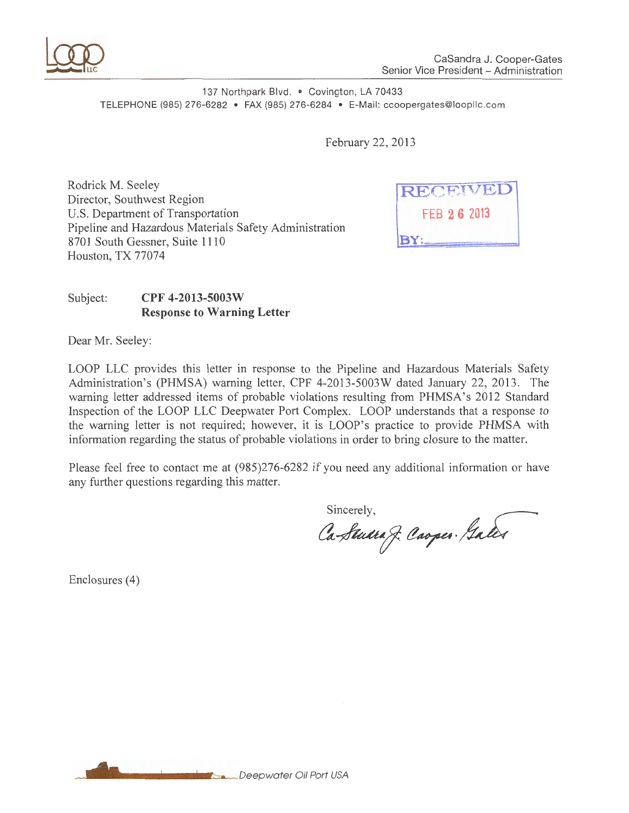

137 Northpark Blvd. . Covington, LA 70433 TELEPHONE (985) 276-6282 • FAX (985) 276-6284 • E-Mail: ccoopergates@loopllc.com

February 22, 2013

Rodrick M. Seeley Director, Southwest Region U.S. Department of Transportation Pipeline and Hazardous Materials Safety Administration 8701 South Gessner, Suite 1110 Houston, TX 77074



# Subject: **CPF 4-2013-5003W Response to Warning Letter**

Dear Mr. Seeley:

LOOP LLC provides this letter in response to the Pipeline and Hazardous Materials Safety Administration's (PHMSA) warning letter, CPF 4-2013-5003W dated January 22, 2013. The warning letter addressed items of probable violations resulting from PHMSA's 2012 Standard Inspection of the LOOP LLC Deepwater Port Complex. LOOP understands that a response to the warning letter is not required; however, it is LOOP's practice to provide PHMSA with information regarding the status of probable violations in order to bring closure to the matter.

Please feel free to contact me at (985)276-6282 if you need any additional information or have any further questions regarding this matter.

Sincerely,

Ca-Studia J. Caoper. Galer

Enclosures (4)

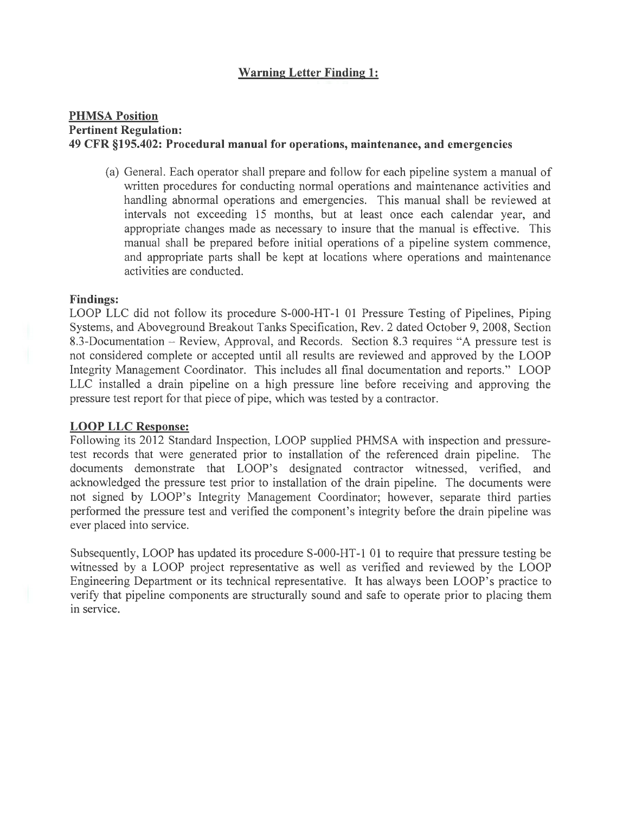# **Warning Letter Finding 1:**

### **PHMSA Position Pertinent Regulation: 49 CFR §195.402: Procedural manual for operations, maintenance, and emergencies**

(a) General. Each operator shall prepare and follow for each pipeline system a manual of written procedures for conducting normal operations and maintenance activities and handling abnormal operations and emergencies. This manual shall be reviewed at intervals not exceeding 15 months, but at least once each calendar year, and appropriate changes made as necessary to insure that the manual is effective. This manual shall be prepared before initial operations of a pipeline system commence, and appropriate parts shall be kept at locations where operations and maintenance activities are conducted.

#### **Findings:**

LOOP LLC did not follow its procedure S-000-HT-1 01 Pressure Testing of Pipelines, Piping Systems, and Aboveground Breakout Tanks Specification, Rev. 2 dated October 9, 2008, Section 8.3-Documentation – Review, Approval, and Records. Section 8.3 requires "A pressure test is not considered complete or accepted until all results are reviewed and approved by the LOOP Integrity Management Coordinator. This includes all final documentation and reports." LOOP LLC installed a drain pipeline on a high pressure line before receiving and approving the pressure test report for that piece of pipe, which was tested by a contractor.

#### **LOOP LLC Response:**

Following its 2012 Standard Inspection, LOOP supplied PHMSA with inspection and pressuretest records that were generated prior to installation of the referenced drain pipeline. The documents demonstrate that LOOP's designated contractor witnessed, verified, and acknowledged the pressure test prior to installation of the drain pipeline. The documents were not signed by LOOP's Integrity Management Coordinator; however, separate third parties performed the pressure test and verified the component's integrity before the drain pipeline was ever placed into service.

Subsequently, LOOP has updated its procedure S-000-HT-1 01 to require that pressure testing be witnessed by a LOOP project representative as well as verified and reviewed by the LOOP Engineering Department or its technical representative. It has always been LOOP's practice to verify that pipeline components are structurally sound and safe to operate prior to placing them in service.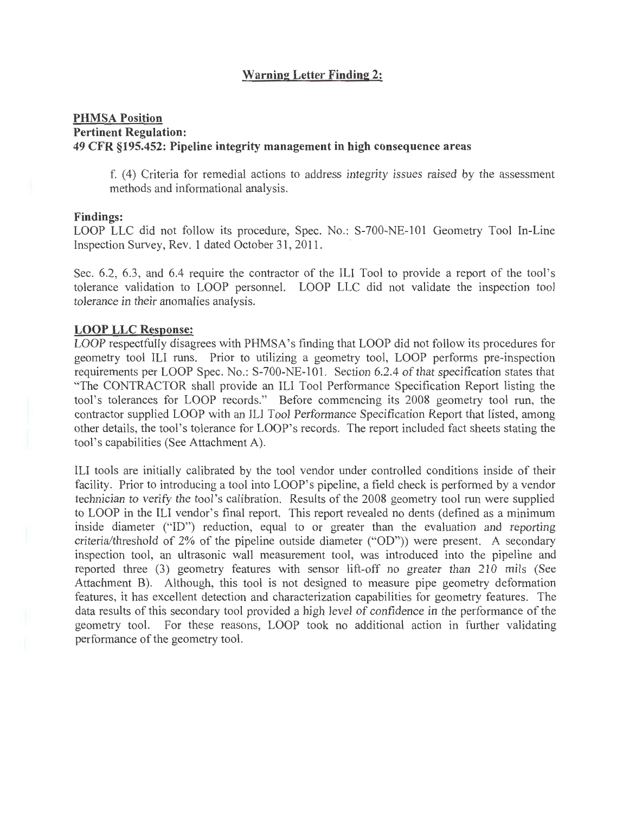# **Warning Letter Finding 2:**

## **PHMSA Position Pertinent Regulation: 49 CFR §195.452: Pipeline integrity management in high consequence areas**

f. (4) Criteria for remedial actions to address integrity issues raised by the assessment methods and informational analysis.

#### **Findings:**

LOOP LLC did not follow its procedure, Spec. No.: S-700-NE-101 Geometry Tool In-Line Inspection Survey, Rev. 1 dated October 31,2011.

Sec. 6.2, 6.3, and 6.4 require the contractor of the ILl Tool to provide a report of the tool's tolerance validation to LOOP personnel. LOOP LLC did not validate the inspection tool tolerance in their anomalies analysis.

#### **LOOP LLC Response:**

LOOP respectfully disagrees with PHMSA's finding that LOOP did not follow its procedures for geometry tool ILl runs. Prior to utilizing a geometry tool, LOOP performs pre-inspection requirements per LOOP Spec. No.: S-700-NE-101. Section 6.2.4 of that specification states that "The CONTRACTOR shall provide an ILl Tool Performance Specification Report listing the tool's tolerances for LOOP records." Before commencing its 2008 geometry tool run, the contractor supplied LOOP with an ILl Tool Performance Specification Report that listed, among other details, the tool's tolerance for LOOP's records. The report included fact sheets stating the tool's capabilities (See Attachment A).

ILl tools are initially calibrated by the tool vendor under controlled conditions inside of their facility. Prior to introducing a tool into LOOP's pipeline, a field check is performed by a vendor technician to verify the tool's calibration. Results of the 2008 geometry tool run were supplied to LOOP in the ILl vendor's final report. This report revealed no dents (defined as a minimum inside diameter ("ID") reduction, equal to or greater than the evaluation and reporting criteria/threshold of 2% of the pipeline outside diameter ("OD")) were present. A secondary inspection tool, an ultrasonic wall measurement tool, was introduced into the pipeline and reported three (3) geometry features with sensor lift-off no greater than 210 mils (See Attachment B). Although, this tool is not designed to measure pipe geometry deformation features, it has excellent detection and characterization capabilities for geometry features. The data results of this secondary tool provided a high level of confidence in the performance of the geometry tool. For these reasons, LOOP took no additional action in further validating performance of the geometry tool.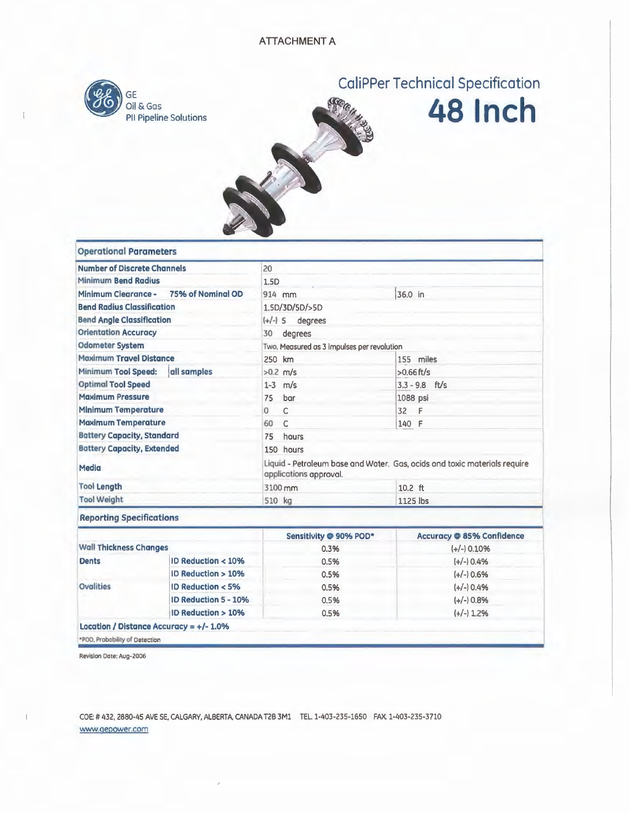

# CaliPPer Technical Specification





| <b>Operational Parameters</b>            |                                            |                                                                                                     |                                  |  |
|------------------------------------------|--------------------------------------------|-----------------------------------------------------------------------------------------------------|----------------------------------|--|
| <b>Number of Discrete Channels</b>       |                                            | 20                                                                                                  |                                  |  |
| <b>Minimum Bend Radius</b>               |                                            | 1.5D                                                                                                |                                  |  |
| 75% of Nominal OD<br>Minimum Clearance - |                                            | 914 mm                                                                                              | 36.0 in                          |  |
| <b>Bend Radius Classification</b>        |                                            | 1.5D/3D/5D/>5D                                                                                      |                                  |  |
| <b>Bend Angle Classification</b>         |                                            | degrees<br>$(+/-)$ 5                                                                                |                                  |  |
| <b>Orientation Accuracy</b>              |                                            | 30<br>degrees                                                                                       |                                  |  |
| <b>Odometer System</b>                   |                                            | Two, Measured as 3 impulses per revolution                                                          |                                  |  |
| <b>Maximum Travel Distance</b>           |                                            | 250 km                                                                                              | 155 miles                        |  |
| Minimum Tool Speed:<br>all samples       |                                            | $>0.2$ m/s                                                                                          | $>0.66$ ft/s                     |  |
| <b>Optimal Tool Speed</b>                |                                            | $1 - 3$ m/s                                                                                         | $3.3 - 9.8$ ft/s                 |  |
| <b>Maximum Pressure</b>                  |                                            | bar<br>75                                                                                           | 1088 psi                         |  |
| <b>Minimum Temperature</b>               |                                            | $\mathsf{C}$<br>$\mathbf{0}$                                                                        | 32<br>- F                        |  |
| <b>Maximum Temperature</b>               |                                            | $\mathsf{C}$<br>60                                                                                  | 140 F                            |  |
| <b>Battery Capacity, Standard</b>        |                                            | 75<br>hours                                                                                         |                                  |  |
| <b>Battery Capacity, Extended</b>        |                                            | 150 hours                                                                                           |                                  |  |
| <b>Media</b>                             |                                            | Liquid - Petroleum base and Water. Gas, ocids ond toxic materials require<br>applications approval. |                                  |  |
| <b>Tool Length</b>                       |                                            | 3100 mm                                                                                             | 10.2 ft                          |  |
| <b>Tool Weight</b>                       |                                            | 510 kg                                                                                              | 1125 lbs                         |  |
| <b>Reporting Specifications</b>          |                                            |                                                                                                     |                                  |  |
|                                          |                                            | Sensitivity @ 90% POD*                                                                              | <b>Accuracy @ 85% Confidence</b> |  |
| <b>Wall Thickness Changes</b>            |                                            | 0.3%                                                                                                | $(+/-)$ 0.10%                    |  |
| <b>Dents</b>                             | ID Reduction < 10%                         | 0.5%                                                                                                | $(+/-)$ 0.4%                     |  |
|                                          | ID Reduction > 10%                         | 0.5%                                                                                                | $(+/-)$ 0.6%                     |  |
| Ovalities                                | ID Reduction < 5%                          | 0.5%                                                                                                | $(+/-)$ 0.4%                     |  |
|                                          | ID Reduction 5 - 10%                       | 0.5%                                                                                                | $(+/-)$ 0.8%                     |  |
|                                          | <b>ID Reduction &gt; 10%</b>               | 0.5%                                                                                                | $(+/-)$ 1.2%                     |  |
|                                          | Location / Distance Accuracy = $+/- 1.0\%$ |                                                                                                     |                                  |  |

\*POD, Probobility of Detection

Revision Date: Aug-2006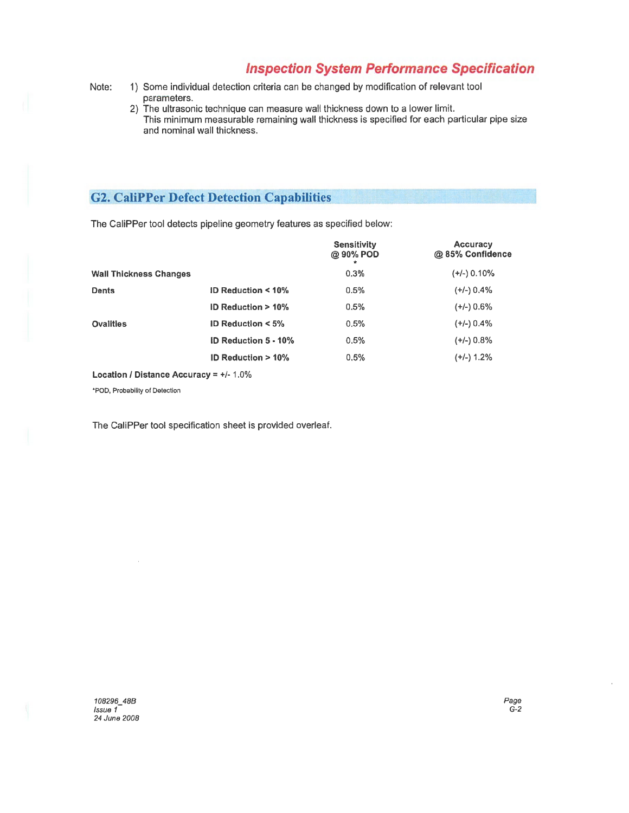# **Inspection System Performance Specification**

- Note: 1) Some individual detection criteria can be changed by modification of relevant tool parameters.
	- 2) The ultrasonic technique can measure wall thickness down to a lower limit. This minimum measurable remaining wall thickness is specified for each particular pipe size and nominal wall thickness.

# **G2. CaliPPer Defect Detection Capabilities**

The CaliPPer tool detects pipeline geometry features as specified below:

|                               |                             | <b>Sensitivity</b><br>@ 90% POD | <b>Accuracy</b><br>@ 85% Confidence |
|-------------------------------|-----------------------------|---------------------------------|-------------------------------------|
| <b>Wall Thickness Changes</b> |                             | 0.3%                            | $(+/-)$ 0.10%                       |
| <b>Dents</b>                  | ID Reduction < 10%          | 0.5%                            | $(+/-)$ 0.4%                        |
|                               | ID Reduction $> 10\%$       | 0.5%                            | $(+/-)$ 0.6%                        |
| <b>Ovalities</b>              | <b>ID Reduction &lt; 5%</b> | 0.5%                            | $(+/-)$ 0.4%                        |
|                               | <b>ID Reduction 5 - 10%</b> | 0.5%                            | $(+/-)$ 0.8%                        |
|                               | ID Reduction $>10\%$        | 0.5%                            | $(+/-)$ 1.2%                        |

Location / Distance Accuracy =  $+/$ - 1.0%

•poo, Probability of Detection

The CaliPPer tool specification sheet is provided overleaf.

108296\_48B Issue 1- 24June 2008